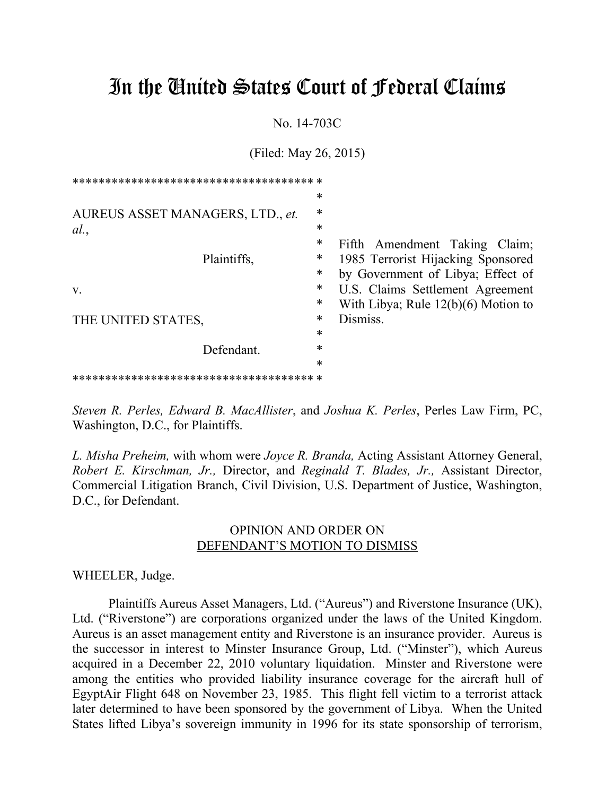# In the United States Court of Federal Claims

No. 14-703C

(Filed: May 26, 2015)

|                                  | $\ast$ |                                       |
|----------------------------------|--------|---------------------------------------|
| AUREUS ASSET MANAGERS, LTD., et. | $\ast$ |                                       |
| al.                              | $\ast$ |                                       |
|                                  | $\ast$ | Fifth Amendment Taking Claim;         |
| Plaintiffs,                      | ∗      | 1985 Terrorist Hijacking Sponsored    |
|                                  | $\ast$ | by Government of Libya; Effect of     |
| $V_{\rm r}$                      | $\ast$ | U.S. Claims Settlement Agreement      |
|                                  | $\ast$ | With Libya; Rule $12(b)(6)$ Motion to |
| THE UNITED STATES,               | $\ast$ | Dismiss.                              |
|                                  | $\ast$ |                                       |
| Defendant.                       | $\ast$ |                                       |
|                                  | $\ast$ |                                       |
|                                  |        |                                       |

*Steven R. Perles, Edward B. MacAllister*, and *Joshua K. Perles*, Perles Law Firm, PC, Washington, D.C., for Plaintiffs.

*L. Misha Preheim,* with whom were *Joyce R. Branda,* Acting Assistant Attorney General, *Robert E. Kirschman, Jr.,* Director, and *Reginald T. Blades, Jr.,* Assistant Director, Commercial Litigation Branch, Civil Division, U.S. Department of Justice, Washington, D.C., for Defendant.

# OPINION AND ORDER ON DEFENDANT'S MOTION TO DISMISS

WHEELER, Judge.

Plaintiffs Aureus Asset Managers, Ltd. ("Aureus") and Riverstone Insurance (UK), Ltd. ("Riverstone") are corporations organized under the laws of the United Kingdom. Aureus is an asset management entity and Riverstone is an insurance provider. Aureus is the successor in interest to Minster Insurance Group, Ltd. ("Minster"), which Aureus acquired in a December 22, 2010 voluntary liquidation. Minster and Riverstone were among the entities who provided liability insurance coverage for the aircraft hull of EgyptAir Flight 648 on November 23, 1985. This flight fell victim to a terrorist attack later determined to have been sponsored by the government of Libya. When the United States lifted Libya's sovereign immunity in 1996 for its state sponsorship of terrorism,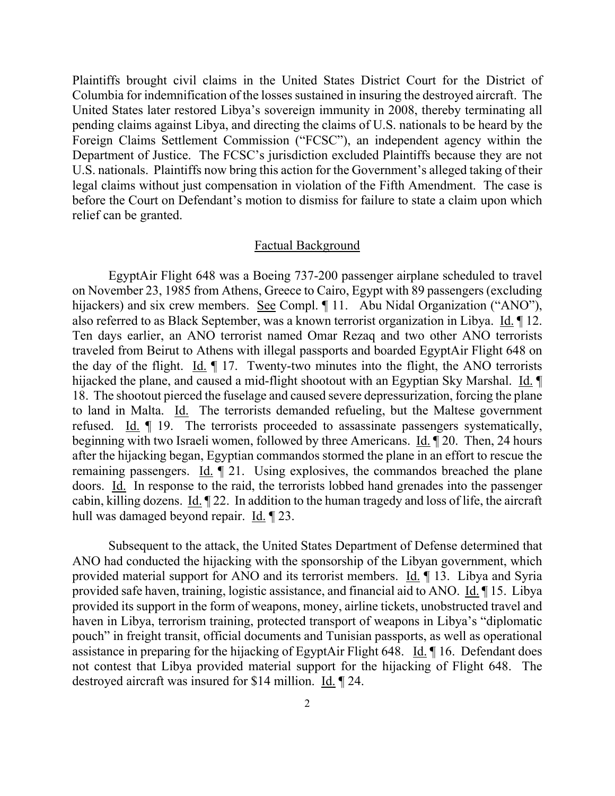Plaintiffs brought civil claims in the United States District Court for the District of Columbia for indemnification of the losses sustained in insuring the destroyed aircraft. The United States later restored Libya's sovereign immunity in 2008, thereby terminating all pending claims against Libya, and directing the claims of U.S. nationals to be heard by the Foreign Claims Settlement Commission ("FCSC"), an independent agency within the Department of Justice. The FCSC's jurisdiction excluded Plaintiffs because they are not U.S. nationals. Plaintiffs now bring this action for the Government's alleged taking of their legal claims without just compensation in violation of the Fifth Amendment. The case is before the Court on Defendant's motion to dismiss for failure to state a claim upon which relief can be granted.

#### Factual Background

EgyptAir Flight 648 was a Boeing 737-200 passenger airplane scheduled to travel on November 23, 1985 from Athens, Greece to Cairo, Egypt with 89 passengers (excluding hijackers) and six crew members. See Compl. ¶ 11. Abu Nidal Organization ("ANO"), also referred to as Black September, was a known terrorist organization in Libya. Id. ¶ 12. Ten days earlier, an ANO terrorist named Omar Rezaq and two other ANO terrorists traveled from Beirut to Athens with illegal passports and boarded EgyptAir Flight 648 on the day of the flight. Id. ¶ 17. Twenty-two minutes into the flight, the ANO terrorists hijacked the plane, and caused a mid-flight shootout with an Egyptian Sky Marshal. Id. 18. The shootout pierced the fuselage and caused severe depressurization, forcing the plane to land in Malta. Id. The terrorists demanded refueling, but the Maltese government refused. Id. ¶ 19. The terrorists proceeded to assassinate passengers systematically, beginning with two Israeli women, followed by three Americans. Id. ¶ 20. Then, 24 hours after the hijacking began, Egyptian commandos stormed the plane in an effort to rescue the remaining passengers. Id. ¶ 21. Using explosives, the commandos breached the plane doors. Id. In response to the raid, the terrorists lobbed hand grenades into the passenger cabin, killing dozens. Id. ¶ 22. In addition to the human tragedy and loss of life, the aircraft hull was damaged beyond repair. Id. ¶ 23.

Subsequent to the attack, the United States Department of Defense determined that ANO had conducted the hijacking with the sponsorship of the Libyan government, which provided material support for ANO and its terrorist members. Id. ¶ 13. Libya and Syria provided safe haven, training, logistic assistance, and financial aid to ANO. Id. ¶ 15. Libya provided its support in the form of weapons, money, airline tickets, unobstructed travel and haven in Libya, terrorism training, protected transport of weapons in Libya's "diplomatic pouch" in freight transit, official documents and Tunisian passports, as well as operational assistance in preparing for the hijacking of EgyptAir Flight 648. Id. ¶ 16. Defendant does not contest that Libya provided material support for the hijacking of Flight 648. The destroyed aircraft was insured for \$14 million. Id. ¶ 24.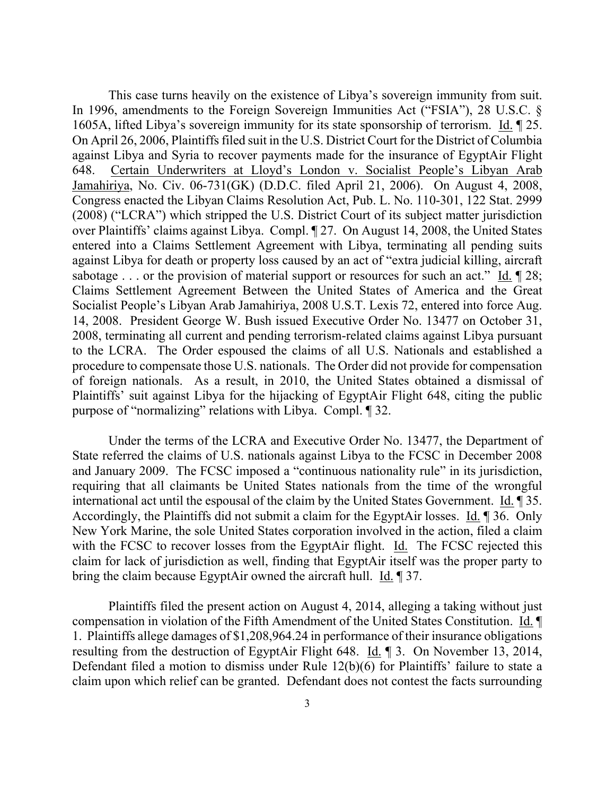This case turns heavily on the existence of Libya's sovereign immunity from suit. In 1996, amendments to the Foreign Sovereign Immunities Act ("FSIA"), 28 U.S.C. § 1605A, lifted Libya's sovereign immunity for its state sponsorship of terrorism. Id. ¶ 25. On April 26, 2006, Plaintiffs filed suit in the U.S. District Court for the District of Columbia against Libya and Syria to recover payments made for the insurance of EgyptAir Flight 648. Certain Underwriters at Lloyd's London v. Socialist People's Libyan Arab Jamahiriya, No. Civ. 06-731(GK) (D.D.C. filed April 21, 2006). On August 4, 2008, Congress enacted the Libyan Claims Resolution Act, Pub. L. No. 110-301, 122 Stat. 2999 (2008) ("LCRA") which stripped the U.S. District Court of its subject matter jurisdiction over Plaintiffs' claims against Libya. Compl. ¶ 27. On August 14, 2008, the United States entered into a Claims Settlement Agreement with Libya, terminating all pending suits against Libya for death or property loss caused by an act of "extra judicial killing, aircraft sabotage . . . or the provision of material support or resources for such an act." Id.  $\llbracket 28$ ; Claims Settlement Agreement Between the United States of America and the Great Socialist People's Libyan Arab Jamahiriya, 2008 U.S.T. Lexis 72, entered into force Aug. 14, 2008. President George W. Bush issued Executive Order No. 13477 on October 31, 2008, terminating all current and pending terrorism-related claims against Libya pursuant to the LCRA. The Order espoused the claims of all U.S. Nationals and established a procedure to compensate those U.S. nationals. The Order did not provide for compensation of foreign nationals. As a result, in 2010, the United States obtained a dismissal of Plaintiffs' suit against Libya for the hijacking of EgyptAir Flight 648, citing the public purpose of "normalizing" relations with Libya. Compl. ¶ 32.

 Under the terms of the LCRA and Executive Order No. 13477, the Department of State referred the claims of U.S. nationals against Libya to the FCSC in December 2008 and January 2009. The FCSC imposed a "continuous nationality rule" in its jurisdiction, requiring that all claimants be United States nationals from the time of the wrongful international act until the espousal of the claim by the United States Government. Id. ¶ 35. Accordingly, the Plaintiffs did not submit a claim for the EgyptAir losses. Id. ¶ 36. Only New York Marine, the sole United States corporation involved in the action, filed a claim with the FCSC to recover losses from the EgyptAir flight. Id. The FCSC rejected this claim for lack of jurisdiction as well, finding that EgyptAir itself was the proper party to bring the claim because EgyptAir owned the aircraft hull. Id. ¶ 37.

 Plaintiffs filed the present action on August 4, 2014, alleging a taking without just compensation in violation of the Fifth Amendment of the United States Constitution. Id. ¶ 1. Plaintiffs allege damages of \$1,208,964.24 in performance of their insurance obligations resulting from the destruction of EgyptAir Flight 648. Id. ¶ 3. On November 13, 2014, Defendant filed a motion to dismiss under Rule 12(b)(6) for Plaintiffs' failure to state a claim upon which relief can be granted. Defendant does not contest the facts surrounding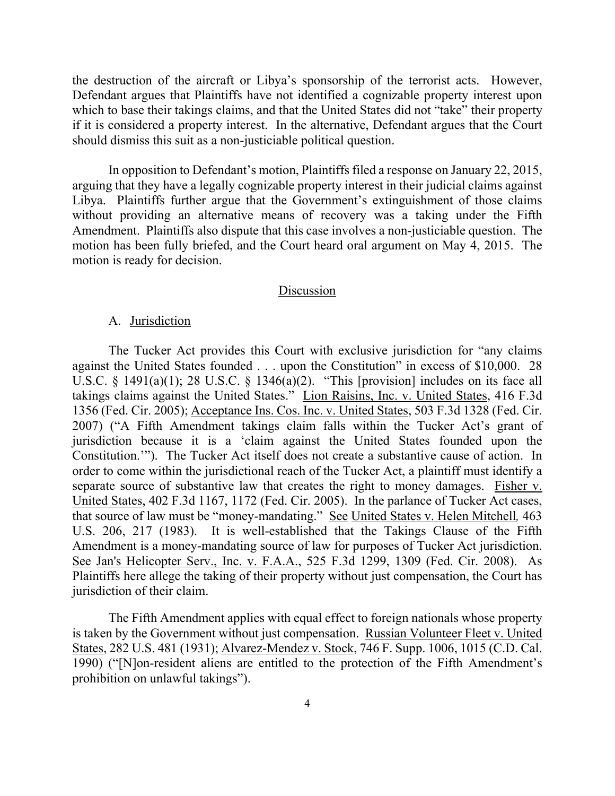the destruction of the aircraft or Libya's sponsorship of the terrorist acts. However, Defendant argues that Plaintiffs have not identified a cognizable property interest upon which to base their takings claims, and that the United States did not "take" their property if it is considered a property interest. In the alternative, Defendant argues that the Court should dismiss this suit as a non-justiciable political question.

 In opposition to Defendant's motion, Plaintiffs filed a response on January 22, 2015, arguing that they have a legally cognizable property interest in their judicial claims against Libya. Plaintiffs further argue that the Government's extinguishment of those claims without providing an alternative means of recovery was a taking under the Fifth Amendment. Plaintiffs also dispute that this case involves a non-justiciable question. The motion has been fully briefed, and the Court heard oral argument on May 4, 2015. The motion is ready for decision.

#### Discussion

## A. Jurisdiction

 The Tucker Act provides this Court with exclusive jurisdiction for "any claims against the United States founded . . . upon the Constitution" in excess of \$10,000. 28 U.S.C. § 1491(a)(1); 28 U.S.C. § 1346(a)(2). "This [provision] includes on its face all takings claims against the United States." Lion Raisins, Inc. v. United States, 416 F.3d 1356 (Fed. Cir. 2005); Acceptance Ins. Cos. Inc. v. United States, 503 F.3d 1328 (Fed. Cir. 2007) ("A Fifth Amendment takings claim falls within the Tucker Act's grant of jurisdiction because it is a 'claim against the United States founded upon the Constitution.'"). The Tucker Act itself does not create a substantive cause of action. In order to come within the jurisdictional reach of the Tucker Act, a plaintiff must identify a separate source of substantive law that creates the right to money damages. Fisher v. United States, 402 F.3d 1167, 1172 (Fed. Cir. 2005). In the parlance of Tucker Act cases, that source of law must be "money-mandating." See United States v. Helen Mitchell*,* 463 U.S. 206, 217 (1983). It is well-established that the Takings Clause of the Fifth Amendment is a money-mandating source of law for purposes of Tucker Act jurisdiction. See Jan's Helicopter Serv., Inc. v. F.A.A., 525 F.3d 1299, 1309 (Fed. Cir. 2008). As Plaintiffs here allege the taking of their property without just compensation, the Court has jurisdiction of their claim.

 The Fifth Amendment applies with equal effect to foreign nationals whose property is taken by the Government without just compensation. Russian Volunteer Fleet v. United States, 282 U.S. 481 (1931); Alvarez-Mendez v. Stock, 746 F. Supp. 1006, 1015 (C.D. Cal. 1990) ("[N]on-resident aliens are entitled to the protection of the Fifth Amendment's prohibition on unlawful takings").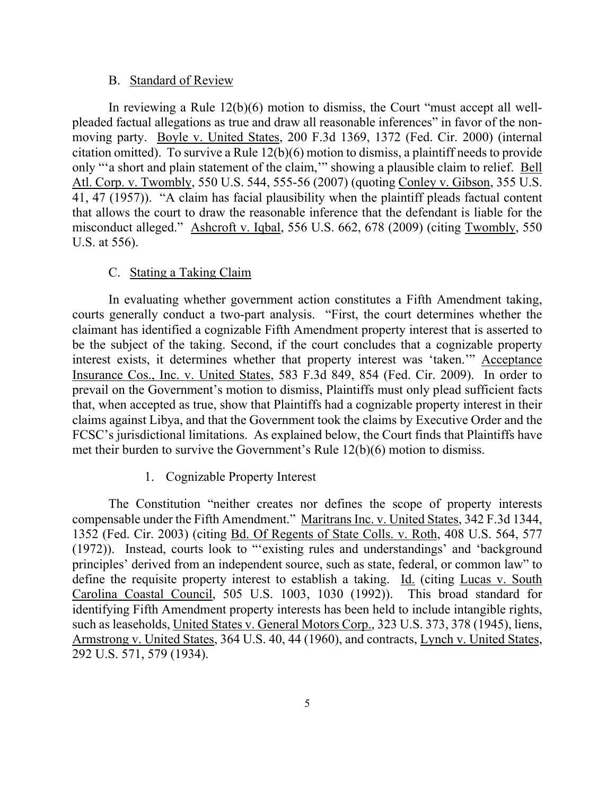#### B. Standard of Review

In reviewing a Rule 12(b)(6) motion to dismiss, the Court "must accept all wellpleaded factual allegations as true and draw all reasonable inferences" in favor of the nonmoving party. Boyle v. United States, 200 F.3d 1369, 1372 (Fed. Cir. 2000) (internal citation omitted). To survive a Rule 12(b)(6) motion to dismiss, a plaintiff needs to provide only "'a short and plain statement of the claim,'" showing a plausible claim to relief. Bell Atl. Corp. v. Twombly, 550 U.S. 544, 555-56 (2007) (quoting Conley v. Gibson, 355 U.S. 41, 47 (1957)). "A claim has facial plausibility when the plaintiff pleads factual content that allows the court to draw the reasonable inference that the defendant is liable for the misconduct alleged." Ashcroft v. Iqbal, 556 U.S. 662, 678 (2009) (citing Twombly, 550 U.S. at 556).

# C. Stating a Taking Claim

In evaluating whether government action constitutes a Fifth Amendment taking, courts generally conduct a two-part analysis. "First, the court determines whether the claimant has identified a cognizable Fifth Amendment property interest that is asserted to be the subject of the taking. Second, if the court concludes that a cognizable property interest exists, it determines whether that property interest was 'taken.'" Acceptance Insurance Cos., Inc. v. United States, 583 F.3d 849, 854 (Fed. Cir. 2009). In order to prevail on the Government's motion to dismiss, Plaintiffs must only plead sufficient facts that, when accepted as true, show that Plaintiffs had a cognizable property interest in their claims against Libya, and that the Government took the claims by Executive Order and the FCSC's jurisdictional limitations. As explained below, the Court finds that Plaintiffs have met their burden to survive the Government's Rule 12(b)(6) motion to dismiss.

# 1. Cognizable Property Interest

The Constitution "neither creates nor defines the scope of property interests compensable under the Fifth Amendment." Maritrans Inc. v. United States, 342 F.3d 1344, 1352 (Fed. Cir. 2003) (citing Bd. Of Regents of State Colls. v. Roth, 408 U.S. 564, 577 (1972)). Instead, courts look to "'existing rules and understandings' and 'background principles' derived from an independent source, such as state, federal, or common law" to define the requisite property interest to establish a taking. Id. (citing Lucas v. South Carolina Coastal Council, 505 U.S. 1003, 1030 (1992)). This broad standard for identifying Fifth Amendment property interests has been held to include intangible rights, such as leaseholds, United States v. General Motors Corp., 323 U.S. 373, 378 (1945), liens, Armstrong v. United States, 364 U.S. 40, 44 (1960), and contracts, Lynch v. United States, 292 U.S. 571, 579 (1934).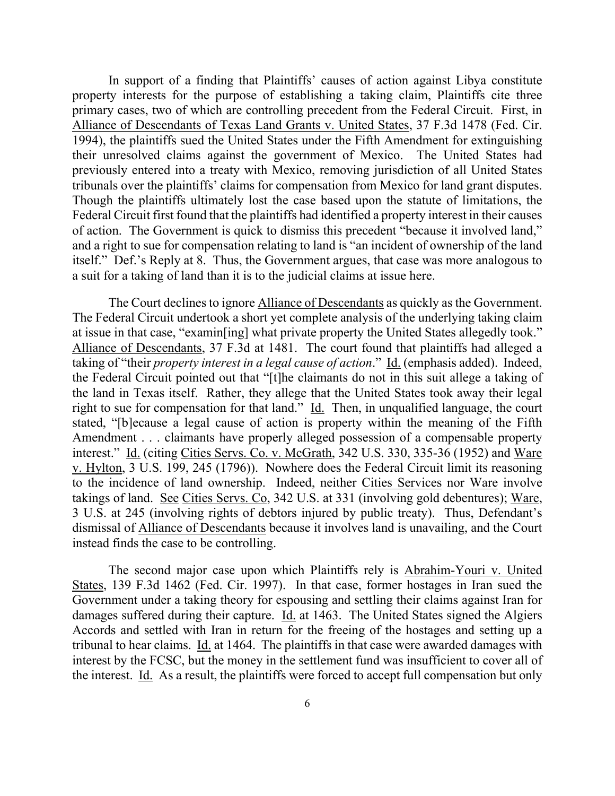In support of a finding that Plaintiffs' causes of action against Libya constitute property interests for the purpose of establishing a taking claim, Plaintiffs cite three primary cases, two of which are controlling precedent from the Federal Circuit. First, in Alliance of Descendants of Texas Land Grants v. United States, 37 F.3d 1478 (Fed. Cir. 1994), the plaintiffs sued the United States under the Fifth Amendment for extinguishing their unresolved claims against the government of Mexico. The United States had previously entered into a treaty with Mexico, removing jurisdiction of all United States tribunals over the plaintiffs' claims for compensation from Mexico for land grant disputes. Though the plaintiffs ultimately lost the case based upon the statute of limitations, the Federal Circuit first found that the plaintiffs had identified a property interest in their causes of action. The Government is quick to dismiss this precedent "because it involved land," and a right to sue for compensation relating to land is "an incident of ownership of the land itself." Def.'s Reply at 8. Thus, the Government argues, that case was more analogous to a suit for a taking of land than it is to the judicial claims at issue here.

The Court declines to ignore Alliance of Descendants as quickly as the Government. The Federal Circuit undertook a short yet complete analysis of the underlying taking claim at issue in that case, "examin[ing] what private property the United States allegedly took." Alliance of Descendants, 37 F.3d at 1481. The court found that plaintiffs had alleged a taking of "their *property interest in a legal cause of action*." Id. (emphasis added). Indeed, the Federal Circuit pointed out that "[t]he claimants do not in this suit allege a taking of the land in Texas itself. Rather, they allege that the United States took away their legal right to sue for compensation for that land." Id. Then, in unqualified language, the court stated, "[b]ecause a legal cause of action is property within the meaning of the Fifth Amendment . . . claimants have properly alleged possession of a compensable property interest." Id. (citing Cities Servs. Co. v. McGrath, 342 U.S. 330, 335-36 (1952) and Ware v. Hylton, 3 U.S. 199, 245 (1796)). Nowhere does the Federal Circuit limit its reasoning to the incidence of land ownership. Indeed, neither Cities Services nor Ware involve takings of land. See Cities Servs. Co, 342 U.S. at 331 (involving gold debentures); Ware, 3 U.S. at 245 (involving rights of debtors injured by public treaty). Thus, Defendant's dismissal of Alliance of Descendants because it involves land is unavailing, and the Court instead finds the case to be controlling.

The second major case upon which Plaintiffs rely is Abrahim-Youri v. United States, 139 F.3d 1462 (Fed. Cir. 1997). In that case, former hostages in Iran sued the Government under a taking theory for espousing and settling their claims against Iran for damages suffered during their capture. Id. at 1463. The United States signed the Algiers Accords and settled with Iran in return for the freeing of the hostages and setting up a tribunal to hear claims. Id. at 1464. The plaintiffs in that case were awarded damages with interest by the FCSC, but the money in the settlement fund was insufficient to cover all of the interest. Id. As a result, the plaintiffs were forced to accept full compensation but only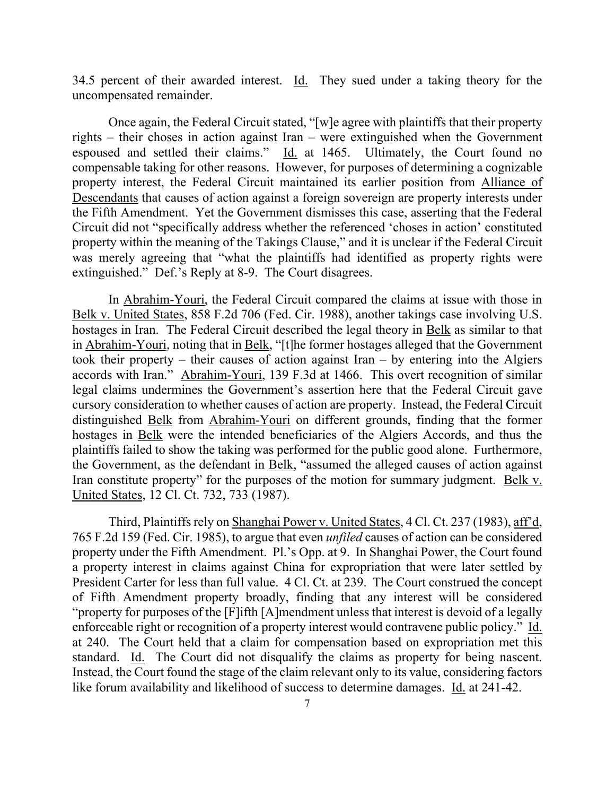34.5 percent of their awarded interest. Id. They sued under a taking theory for the uncompensated remainder.

Once again, the Federal Circuit stated, "[w]e agree with plaintiffs that their property rights – their choses in action against Iran – were extinguished when the Government espoused and settled their claims." Id. at 1465. Ultimately, the Court found no compensable taking for other reasons. However, for purposes of determining a cognizable property interest, the Federal Circuit maintained its earlier position from Alliance of Descendants that causes of action against a foreign sovereign are property interests under the Fifth Amendment. Yet the Government dismisses this case, asserting that the Federal Circuit did not "specifically address whether the referenced 'choses in action' constituted property within the meaning of the Takings Clause," and it is unclear if the Federal Circuit was merely agreeing that "what the plaintiffs had identified as property rights were extinguished." Def.'s Reply at 8-9. The Court disagrees.

In Abrahim-Youri, the Federal Circuit compared the claims at issue with those in Belk v. United States, 858 F.2d 706 (Fed. Cir. 1988), another takings case involving U.S. hostages in Iran. The Federal Circuit described the legal theory in Belk as similar to that in Abrahim-Youri, noting that in Belk, "[t]he former hostages alleged that the Government took their property – their causes of action against Iran – by entering into the Algiers accords with Iran." Abrahim-Youri, 139 F.3d at 1466. This overt recognition of similar legal claims undermines the Government's assertion here that the Federal Circuit gave cursory consideration to whether causes of action are property. Instead, the Federal Circuit distinguished Belk from Abrahim-Youri on different grounds, finding that the former hostages in Belk were the intended beneficiaries of the Algiers Accords, and thus the plaintiffs failed to show the taking was performed for the public good alone. Furthermore, the Government, as the defendant in Belk, "assumed the alleged causes of action against Iran constitute property" for the purposes of the motion for summary judgment. Belk v. United States, 12 Cl. Ct. 732, 733 (1987).

Third, Plaintiffs rely on Shanghai Power v. United States, 4 Cl. Ct. 237 (1983), aff'd, 765 F.2d 159 (Fed. Cir. 1985), to argue that even *unfiled* causes of action can be considered property under the Fifth Amendment. Pl.'s Opp. at 9. In Shanghai Power, the Court found a property interest in claims against China for expropriation that were later settled by President Carter for less than full value. 4 Cl. Ct. at 239. The Court construed the concept of Fifth Amendment property broadly, finding that any interest will be considered "property for purposes of the [F]ifth [A]mendment unless that interest is devoid of a legally enforceable right or recognition of a property interest would contravene public policy." Id. at 240. The Court held that a claim for compensation based on expropriation met this standard. Id. The Court did not disqualify the claims as property for being nascent. Instead, the Court found the stage of the claim relevant only to its value, considering factors like forum availability and likelihood of success to determine damages. Id. at 241-42.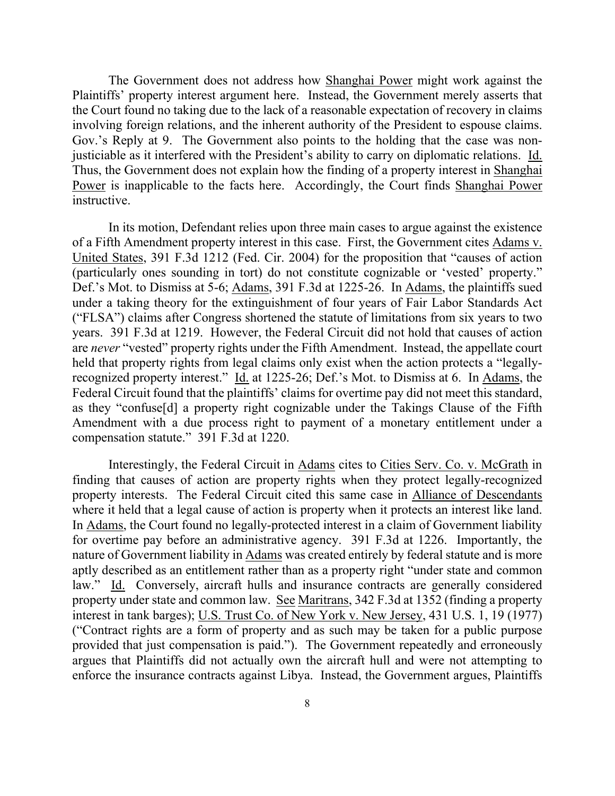The Government does not address how Shanghai Power might work against the Plaintiffs' property interest argument here. Instead, the Government merely asserts that the Court found no taking due to the lack of a reasonable expectation of recovery in claims involving foreign relations, and the inherent authority of the President to espouse claims. Gov.'s Reply at 9. The Government also points to the holding that the case was nonjusticiable as it interfered with the President's ability to carry on diplomatic relations. Id. Thus, the Government does not explain how the finding of a property interest in Shanghai Power is inapplicable to the facts here. Accordingly, the Court finds Shanghai Power instructive.

In its motion, Defendant relies upon three main cases to argue against the existence of a Fifth Amendment property interest in this case. First, the Government cites Adams v. United States, 391 F.3d 1212 (Fed. Cir. 2004) for the proposition that "causes of action (particularly ones sounding in tort) do not constitute cognizable or 'vested' property." Def.'s Mot. to Dismiss at 5-6; Adams, 391 F.3d at 1225-26. In Adams, the plaintiffs sued under a taking theory for the extinguishment of four years of Fair Labor Standards Act ("FLSA") claims after Congress shortened the statute of limitations from six years to two years. 391 F.3d at 1219. However, the Federal Circuit did not hold that causes of action are *never* "vested" property rights under the Fifth Amendment. Instead, the appellate court held that property rights from legal claims only exist when the action protects a "legallyrecognized property interest." Id. at 1225-26; Def.'s Mot. to Dismiss at 6. In Adams, the Federal Circuit found that the plaintiffs' claims for overtime pay did not meet this standard, as they "confuse[d] a property right cognizable under the Takings Clause of the Fifth Amendment with a due process right to payment of a monetary entitlement under a compensation statute." 391 F.3d at 1220.

Interestingly, the Federal Circuit in Adams cites to Cities Serv. Co. v. McGrath in finding that causes of action are property rights when they protect legally-recognized property interests. The Federal Circuit cited this same case in Alliance of Descendants where it held that a legal cause of action is property when it protects an interest like land. In Adams, the Court found no legally-protected interest in a claim of Government liability for overtime pay before an administrative agency. 391 F.3d at 1226. Importantly, the nature of Government liability in Adams was created entirely by federal statute and is more aptly described as an entitlement rather than as a property right "under state and common law." Id. Conversely, aircraft hulls and insurance contracts are generally considered property under state and common law. See Maritrans, 342 F.3d at 1352 (finding a property interest in tank barges); U.S. Trust Co. of New York v. New Jersey, 431 U.S. 1, 19 (1977) ("Contract rights are a form of property and as such may be taken for a public purpose provided that just compensation is paid."). The Government repeatedly and erroneously argues that Plaintiffs did not actually own the aircraft hull and were not attempting to enforce the insurance contracts against Libya. Instead, the Government argues, Plaintiffs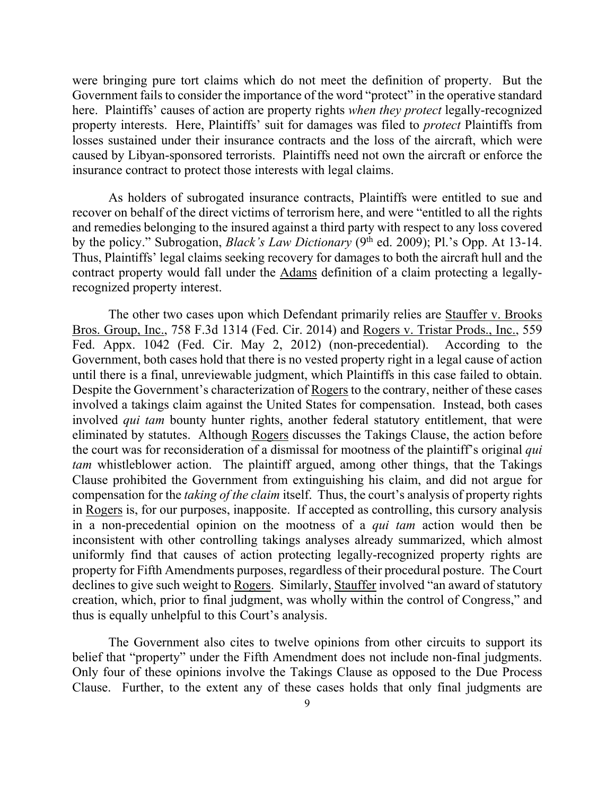were bringing pure tort claims which do not meet the definition of property. But the Government fails to consider the importance of the word "protect" in the operative standard here. Plaintiffs' causes of action are property rights *when they protect* legally-recognized property interests. Here, Plaintiffs' suit for damages was filed to *protect* Plaintiffs from losses sustained under their insurance contracts and the loss of the aircraft, which were caused by Libyan-sponsored terrorists. Plaintiffs need not own the aircraft or enforce the insurance contract to protect those interests with legal claims.

As holders of subrogated insurance contracts, Plaintiffs were entitled to sue and recover on behalf of the direct victims of terrorism here, and were "entitled to all the rights and remedies belonging to the insured against a third party with respect to any loss covered by the policy." Subrogation, *Black's Law Dictionary* (9<sup>th</sup> ed. 2009); Pl.'s Opp. At 13-14. Thus, Plaintiffs' legal claims seeking recovery for damages to both the aircraft hull and the contract property would fall under the Adams definition of a claim protecting a legallyrecognized property interest.

The other two cases upon which Defendant primarily relies are Stauffer v. Brooks Bros. Group, Inc., 758 F.3d 1314 (Fed. Cir. 2014) and Rogers v. Tristar Prods., Inc., 559 Fed. Appx. 1042 (Fed. Cir. May 2, 2012) (non-precedential). According to the Government, both cases hold that there is no vested property right in a legal cause of action until there is a final, unreviewable judgment, which Plaintiffs in this case failed to obtain. Despite the Government's characterization of Rogers to the contrary, neither of these cases involved a takings claim against the United States for compensation. Instead, both cases involved *qui tam* bounty hunter rights, another federal statutory entitlement, that were eliminated by statutes. Although Rogers discusses the Takings Clause, the action before the court was for reconsideration of a dismissal for mootness of the plaintiff's original *qui tam* whistleblower action. The plaintiff argued, among other things, that the Takings Clause prohibited the Government from extinguishing his claim, and did not argue for compensation for the *taking of the claim* itself. Thus, the court's analysis of property rights in Rogers is, for our purposes, inapposite. If accepted as controlling, this cursory analysis in a non-precedential opinion on the mootness of a *qui tam* action would then be inconsistent with other controlling takings analyses already summarized, which almost uniformly find that causes of action protecting legally-recognized property rights are property for Fifth Amendments purposes, regardless of their procedural posture. The Court declines to give such weight to Rogers. Similarly, Stauffer involved "an award of statutory creation, which, prior to final judgment, was wholly within the control of Congress," and thus is equally unhelpful to this Court's analysis.

The Government also cites to twelve opinions from other circuits to support its belief that "property" under the Fifth Amendment does not include non-final judgments. Only four of these opinions involve the Takings Clause as opposed to the Due Process Clause. Further, to the extent any of these cases holds that only final judgments are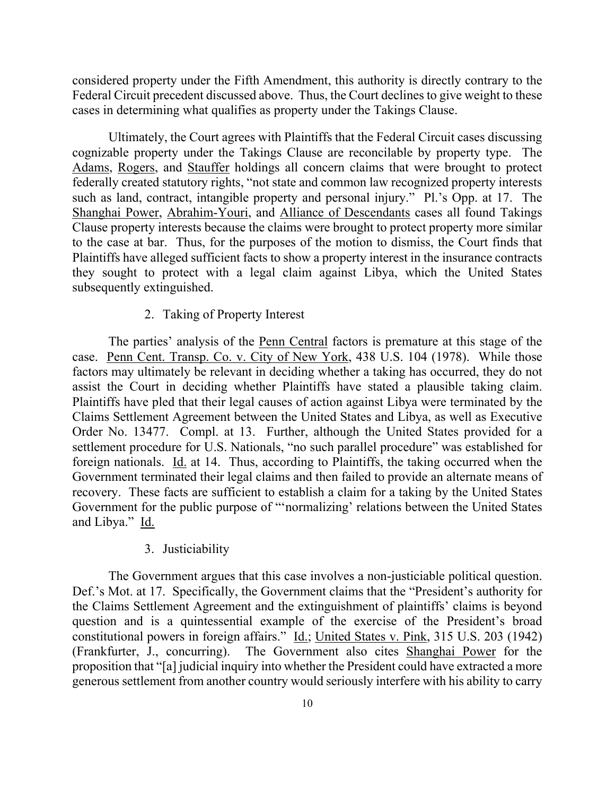considered property under the Fifth Amendment, this authority is directly contrary to the Federal Circuit precedent discussed above. Thus, the Court declines to give weight to these cases in determining what qualifies as property under the Takings Clause.

Ultimately, the Court agrees with Plaintiffs that the Federal Circuit cases discussing cognizable property under the Takings Clause are reconcilable by property type. The Adams, Rogers, and Stauffer holdings all concern claims that were brought to protect federally created statutory rights, "not state and common law recognized property interests such as land, contract, intangible property and personal injury." Pl.'s Opp. at 17. The Shanghai Power, Abrahim-Youri, and Alliance of Descendants cases all found Takings Clause property interests because the claims were brought to protect property more similar to the case at bar. Thus, for the purposes of the motion to dismiss, the Court finds that Plaintiffs have alleged sufficient facts to show a property interest in the insurance contracts they sought to protect with a legal claim against Libya, which the United States subsequently extinguished.

# 2. Taking of Property Interest

The parties' analysis of the Penn Central factors is premature at this stage of the case. Penn Cent. Transp. Co. v. City of New York, 438 U.S. 104 (1978). While those factors may ultimately be relevant in deciding whether a taking has occurred, they do not assist the Court in deciding whether Plaintiffs have stated a plausible taking claim. Plaintiffs have pled that their legal causes of action against Libya were terminated by the Claims Settlement Agreement between the United States and Libya, as well as Executive Order No. 13477. Compl. at 13. Further, although the United States provided for a settlement procedure for U.S. Nationals, "no such parallel procedure" was established for foreign nationals. Id. at 14. Thus, according to Plaintiffs, the taking occurred when the Government terminated their legal claims and then failed to provide an alternate means of recovery. These facts are sufficient to establish a claim for a taking by the United States Government for the public purpose of "'normalizing' relations between the United States and Libya." Id.

## 3. Justiciability

The Government argues that this case involves a non-justiciable political question. Def.'s Mot. at 17. Specifically, the Government claims that the "President's authority for the Claims Settlement Agreement and the extinguishment of plaintiffs' claims is beyond question and is a quintessential example of the exercise of the President's broad constitutional powers in foreign affairs." Id.; United States v. Pink, 315 U.S. 203 (1942) (Frankfurter, J., concurring). The Government also cites Shanghai Power for the proposition that "[a] judicial inquiry into whether the President could have extracted a more generous settlement from another country would seriously interfere with his ability to carry